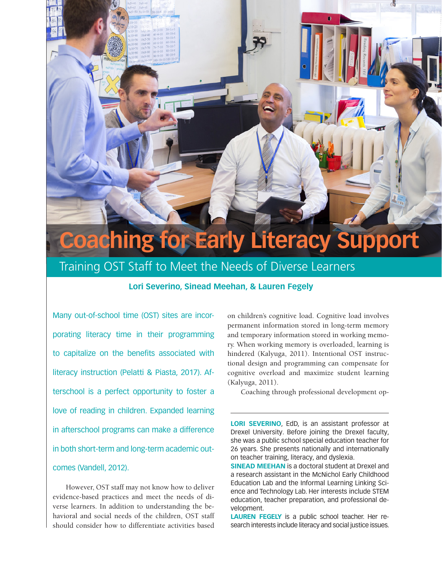# **Coaching for Early Literacy Support**

# Training OST Staff to Meet the Needs of Diverse Learners

## **Lori Severino, Sinead Meehan, & Lauren Fegely**

Many out-of-school time (OST) sites are incorporating literacy time in their programming to capitalize on the benefits associated with literacy instruction (Pelatti & Piasta, 2017). Afterschool is a perfect opportunity to foster a love of reading in children. Expanded learning in afterschool programs can make a difference in both short-term and long-term academic outcomes (Vandell, 2012).

However, OST staff may not know how to deliver evidence-based practices and meet the needs of diverse learners. In addition to understanding the behavioral and social needs of the children, OST staff should consider how to differentiate activities based on children's cognitive load. Cognitive load involves permanent information stored in long-term memory and temporary information stored in working memory. When working memory is overloaded, learning is hindered (Kalyuga, 2011). Intentional OST instructional design and programming can compensate for cognitive overload and maximize student learning (Kalyuga, 2011).

Coaching through professional development op-

**LORI SEVERINO**, EdD, is an assistant professor at Drexel University. Before joining the Drexel faculty, she was a public school special education teacher for 26 years. She presents nationally and internationally on teacher training, literacy, and dyslexia.

**SINEAD MEEHAN** is a doctoral student at Drexel and a research assistant in the McNichol Early Childhood Education Lab and the Informal Learning Linking Science and Technology Lab. Her interests include STEM education, teacher preparation, and professional development.

**LAUREN FEGELY** is a public school teacher. Her research interests include literacy and social justice issues.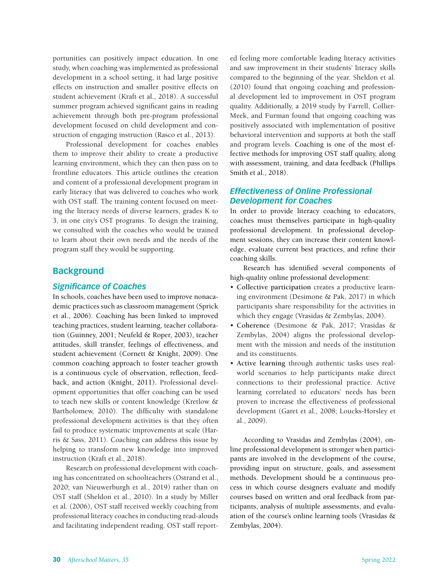portunities can positively impact education. In one study, when coaching was implemented as professional development in a school setting, it had large positive effects on instruction and smaller positive effects on student achievement (Kraft et al., 2018). A successful summer program achieved significant gains in reading achievement through both pre-program professional development focused on child development and construction of engaging instruction (Rasco et al., 2013).

Professional development for coaches enables them to improve their ability to create a productive learning environment, which they can then pass on to frontline educators. This article outlines the creation and content of a professional development program in early literacy that was delivered to coaches who work with OST staff. The training content focused on meeting the literacy needs of diverse learners, grades K to 3, in one city's OST programs. To design the training, we consulted with the coaches who would be trained to learn about their own needs and the needs of the program staff they would be supporting.

## **Background**

#### *Significance of Coaches*

In schools, coaches have been used to improve nonacademic practices such as classroom management (Sprick et al., 2006). Coaching has been linked to improved teaching practices, student learning, teacher collaboration (Guinney, 2001; Neufeld & Roper, 2003), teacher attitudes, skill transfer, feelings of effectiveness, and student achievement (Cornett & Knight, 2009). One common coaching approach to foster teacher growth is a continuous cycle of observation, reflection, feedback, and action (Knight, 2011). Professional development opportunities that offer coaching can be used to teach new skills or content knowledge (Kretlow & Bartholomew, 2010). The difficulty with standalone professional development activities is that they often fail to produce systematic improvements at scale (Harris & Sass, 2011). Coaching can address this issue by helping to transform new knowledge into improved instruction (Kraft et al., 2018).

Research on professional development with coaching has concentrated on schoolteachers (Ostrand et al., 2020; van Nieuwerburgh et al., 2019) rather than on OST staff (Sheldon et al., 2010). In a study by Miller et al. (2006), OST staff received weekly coaching from professional literacy coaches in conducting read-alouds and facilitating independent reading. OST staff reported feeling more comfortable leading literacy activities and saw improvement in their students' literacy skills compared to the beginning of the year. Sheldon et al. (2010) found that ongoing coaching and professional development led to improvement in OST program quality. Additionally, a 2019 study by Farrell, Collier-Meek, and Furman found that ongoing coaching was positively associated with implementation of positive behavioral intervention and supports at both the staff and program levels. Coaching is one of the most effective methods for improving OST staff quality, along with assessment, training, and data feedback (Phillips Smith et al., 2018).

## *Effectiveness of Online Professional Development for Coaches*

In order to provide literacy coaching to educators, coaches must themselves participate in high-quality professional development. In professional development sessions, they can increase their content knowledge, evaluate current best practices, and refine their coaching skills.

Research has identified several components of high-quality online professional development:

- **Collective participation** creates a productive learning environment (Desimone & Pak, 2017) in which participants share responsibility for the activities in which they engage (Vrasidas & Zembylas, 2004).
- **Coherence** (Desimone & Pak, 2017; Vrasidas & Zembylas, 2004) aligns the professional development with the mission and needs of the institution and its constituents.
- **Active learning** through authentic tasks uses realworld scenarios to help participants make direct connections to their professional practice. Active learning correlated to educators' needs has been proven to increase the effectiveness of professional development (Garet et al., 2008; Loucks-Horsley et al., 2009).

According to Vrasidas and Zembylas (2004), online professional development is stronger when participants are involved in the development of the course, providing input on structure, goals, and assessment methods. Development should be a continuous process in which course designers evaluate and modify courses based on written and oral feedback from participants, analysis of multiple assessments, and evaluation of the course's online learning tools (Vrasidas & Zembylas, 2004).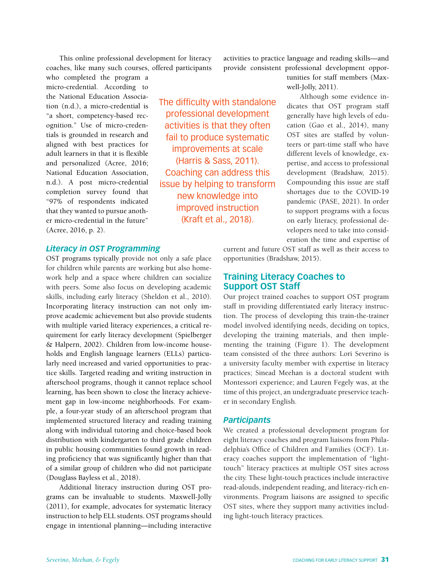This online professional development for literacy coaches, like many such courses, offered participants

who completed the program a micro-credential. According to the National Education Association (n.d.), a micro-credential is "a short, competency-based recognition." Use of micro-credentials is grounded in research and aligned with best practices for adult learners in that it is flexible and personalized (Acree, 2016; National Education Association, n.d.). A post micro-credential completion survey found that "97% of respondents indicated that they wanted to pursue another micro-credential in the future" (Acree, 2016, p. 2).

## *Literacy in OST Programming*

OST programs typically provide not only a safe place for children while parents are working but also homework help and a space where children can socialize with peers. Some also focus on developing academic skills, including early literacy (Sheldon et al., 2010). Incorporating literacy instruction can not only improve academic achievement but also provide students with multiple varied literacy experiences, a critical requirement for early literacy development (Spielberger & Halpern, 2002). Children from low-income households and English language learners (ELLs) particularly need increased and varied opportunities to practice skills. Targeted reading and writing instruction in afterschool programs, though it cannot replace school learning, has been shown to close the literacy achievement gap in low-income neighborhoods. For example, a four-year study of an afterschool program that implemented structured literacy and reading training along with individual tutoring and choice-based book distribution with kindergarten to third grade children in public housing communities found growth in reading proficiency that was significantly higher than that of a similar group of children who did not participate (Douglass Bayless et al., 2018).

Additional literacy instruction during OST programs can be invaluable to students. Maxwell-Jolly (2011), for example, advocates for systematic literacy instruction to help ELL students. OST programs should engage in intentional planning—including interactive

The difficulty with standalone professional development activities is that they often fail to produce systematic improvements at scale (Harris & Sass, 2011). Coaching can address this issue by helping to transform new knowledge into improved instruction (Kraft et al., 2018).

activities to practice language and reading skills—and provide consistent professional development oppor-

> tunities for staff members (Maxwell-Jolly, 2011).

Although some evidence indicates that OST program staff generally have high levels of education (Gao et al., 2014), many OST sites are staffed by volunteers or part-time staff who have different levels of knowledge, expertise, and access to professional development (Bradshaw, 2015). Compounding this issue are staff shortages due to the COVID-19 pandemic (PASE, 2021). In order to support programs with a focus on early literacy, professional developers need to take into consideration the time and expertise of

current and future OST staff as well as their access to opportunities (Bradshaw, 2015).

# **Training Literacy Coaches to Support OST Staff**

Our project trained coaches to support OST program staff in providing differentiated early literacy instruction. The process of developing this train-the-trainer model involved identifying needs, deciding on topics, developing the training materials, and then implementing the training (Figure 1). The development team consisted of the three authors: Lori Severino is a university faculty member with expertise in literacy practices; Sinead Meehan is a doctoral student with Montessori experience; and Lauren Fegely was, at the time of this project, an undergraduate preservice teacher in secondary English.

#### *Participants*

We created a professional development program for eight literacy coaches and program liaisons from Philadelphia's Office of Children and Families (OCF). Literacy coaches support the implementation of "lighttouch" literacy practices at multiple OST sites across the city. These light-touch practices include interactive read-alouds, independent reading, and literacy-rich environments. Program liaisons are assigned to specific OST sites, where they support many activities including light-touch literacy practices.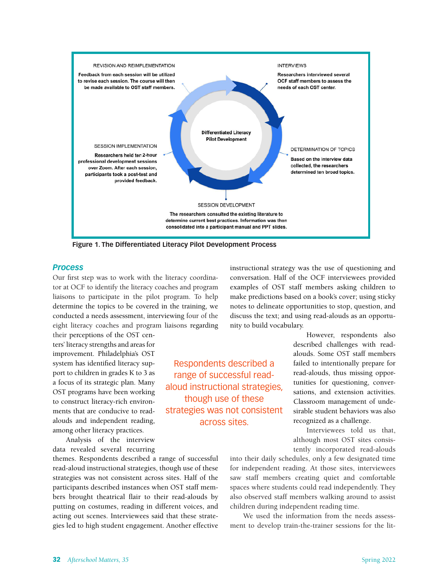

Respondents described a range of successful readaloud instructional strategies, though use of these strategies was not consistent across sites.

**Figure 1. The Differentiated Literacy Pilot Development Process**

#### *Process*

Our first step was to work with the literacy coordinator at OCF to identify the literacy coaches and program liaisons to participate in the pilot program. To help determine the topics to be covered in the training, we conducted a needs assessment, interviewing four of the eight literacy coaches and program liaisons regarding

their perceptions of the OST centers' literacy strengths and areas for improvement. Philadelphia's OST system has identified literacy support to children in grades K to 3 as a focus of its strategic plan. Many OST programs have been working to construct literacy-rich environments that are conducive to readalouds and independent reading, among other literacy practices.

Analysis of the interview data revealed several recurring

themes. Respondents described a range of successful read-aloud instructional strategies, though use of these strategies was not consistent across sites. Half of the participants described instances when OST staff members brought theatrical flair to their read-alouds by putting on costumes, reading in different voices, and acting out scenes. Interviewees said that these strategies led to high student engagement. Another effective instructional strategy was the use of questioning and conversation. Half of the OCF interviewees provided examples of OST staff members asking children to make predictions based on a book's cover; using sticky notes to delineate opportunities to stop, question, and discuss the text; and using read-alouds as an opportunity to build vocabulary.

> However, respondents also described challenges with readalouds. Some OST staff members failed to intentionally prepare for read-alouds, thus missing opportunities for questioning, conversations, and extension activities. Classroom management of undesirable student behaviors was also recognized as a challenge.

> Interviewees told us that, although most OST sites consistently incorporated read-alouds

into their daily schedules, only a few designated time for independent reading. At those sites, interviewees saw staff members creating quiet and comfortable spaces where students could read independently. They also observed staff members walking around to assist children during independent reading time.

We used the information from the needs assessment to develop train-the-trainer sessions for the lit-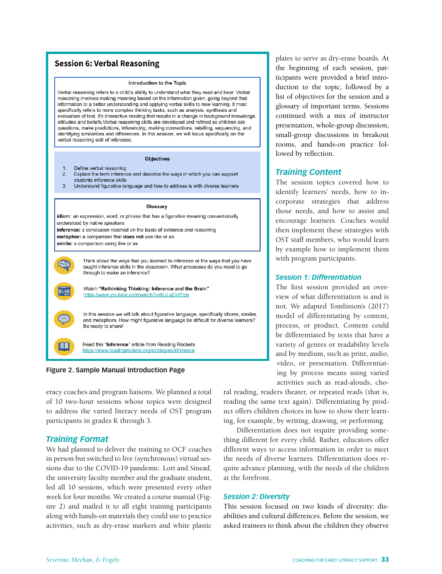## **Session 6: Verbal Reasoning**

#### Introduction to the Topic

Verbal reasoning refers to a child's ability to understand what they read and hear. Verbal reasoning involves making meaning based on the information given, going beyond that information to a better understanding and applying verbal skills to new learning. it most specifically refers to more complex thinking tasks, such as analysis, synthesis and evaluation of text. it's interactive reading that results in a change in background knowledge, attitudes and beliefs. Verbal reasoning skills are developed and refined as children ask questions, make predictions, inferencing, making connections, retelling, sequencing, and identifying similarities and differences. In this session, we will focus specifically on the verbal reasoning skill of inference.

#### Objectives

- Define verbal reasoning
- $\overline{2}$ . Explain the term inference and describe the ways in which you can support students inference skills
- $3.$ Understand figurative language and how to address is with diverse learners

#### Glossary

idiom: an expression, word, or phrase that has a figurative meaning conventionally understood by native speakers

inference: a conclusion reached on the basis of evidence and reasoning

metaphor: a comparison that does not use like or as

simile: a comparison using like or as

Think about the ways that you learned to inference or the ways that you have taught inference skills in the classroom. What processes do you need to go through to make an inference?

Watch "Rethinking Thinking: Inference and the Brain" https://www.youtube.com/watch?v=KJLqOclPqis

In this session we will talk about figurative language, specifically idioms, similes, and metaphors. How might figurative language be difficult for diverse learners? Be ready to share!

Read this "Inference" article from Reading Rockets https://www.readingrockets.org/strategies/inference

**Figure 2. Sample Manual Introduction Page**

eracy coaches and program liaisons. We planned a total of 10 two-hour sessions whose topics were designed to address the varied literacy needs of OST program participants in grades K through 3.

#### *Training Format*

 $\Box$ 

m

We had planned to deliver the training to OCF coaches in person but switched to live (synchronous) virtual sessions due to the COVID-19 pandemic. Lori and Sinead, the university faculty member and the graduate student, led all 10 sessions, which were presented every other week for four months. We created a course manual (Figure 2) and mailed it to all eight training participants along with hands-on materials they could use to practice activities, such as dry-erase markers and white plastic

plates to serve as dry-erase boards. At the beginning of each session, participants were provided a brief introduction to the topic, followed by a list of objectives for the session and a glossary of important terms. Sessions continued with a mix of instructor presentation, whole-group discussion, small-group discussions in breakout rooms, and hands-on practice followed by reflection.

#### *Training Content*

The session topics covered how to identify learners' needs, how to incorporate strategies that address those needs, and how to assist and encourage learners. Coaches would then implement these strategies with OST staff members, who would learn by example how to implement them with program participants.

#### *Session 1: Differentiation*

The first session provided an overview of what differentiation is and is not. We adapted Tomlinson's (2017) model of differentiating by content, process, or product. Content could be differentiated by texts that have a variety of genres or readability levels and by medium, such as print, audio, video, or presentation. Differentiating by process means using varied activities such as read-alouds, cho-

ral reading, readers theater, or repeated reads (that is, reading the same text again). Differentiating by product offers children choices in how to show their learning, for example, by writing, drawing, or performing.

Differentiation does not require providing something different for every child. Rather, educators offer different ways to access information in order to meet the needs of diverse learners. Differentiation does require advance planning, with the needs of the children at the forefront.

#### *Session 2: Diversity*

This session focused on two kinds of diversity: disabilities and cultural differences. Before the session, we asked trainees to think about the children they observe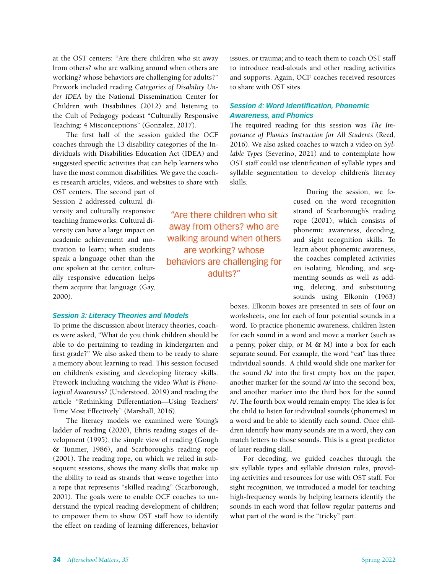at the OST centers: "Are there children who sit away from others? who are walking around when others are working? whose behaviors are challenging for adults?" Prework included reading *Categories of Disability Under IDEA* by the National Dissemination Center for Children with Disabilities (2012) and listening to the Cult of Pedagogy podcast "Culturally Responsive Teaching: 4 Misconceptions" (Gonzalez, 2017).

The first half of the session guided the OCF coaches through the 13 disability categories of the Individuals with Disabilities Education Act (IDEA) and suggested specific activities that can help learners who have the most common disabilities. We gave the coaches research articles, videos, and websites to share with

OST centers. The second part of Session 2 addressed cultural diversity and culturally responsive teaching frameworks. Cultural diversity can have a large impact on academic achievement and motivation to learn; when students speak a language other than the one spoken at the center, culturally responsive education helps them acquire that language (Gay, 2000).

#### *Session 3: Literacy Theories and Models*

To prime the discussion about literacy theories, coaches were asked, "What do you think children should be able to do pertaining to reading in kindergarten and first grade?" We also asked them to be ready to share a memory about learning to read. This session focused on children's existing and developing literacy skills. Prework including watching the video *What Is Phonological Awareness?* (Understood, 2019) and reading the article "Rethinking Differentiation—Using Teachers' Time Most Effectively" (Marshall, 2016).

The literacy models we examined were Young's ladder of reading (2020), Ehri's reading stages of development (1995), the simple view of reading (Gough & Tunmer, 1986), and Scarborough's reading rope (2001). The reading rope, on which we relied in subsequent sessions, shows the many skills that make up the ability to read as strands that weave together into a rope that represents "skilled reading" (Scarborough, 2001). The goals were to enable OCF coaches to understand the typical reading development of children; to empower them to show OST staff how to identify the effect on reading of learning differences, behavior

issues, or trauma; and to teach them to coach OST staff to introduce read-alouds and other reading activities and supports. Again, OCF coaches received resources to share with OST sites.

#### *Session 4: Word Identification, Phonemic Awareness, and Phonics*

"Are there children who sit away from others? who are walking around when others are working? whose behaviors are challenging for adults?"

The required reading for this session was *The Importance of Phonics Instruction for All Students* (Reed, 2016). We also asked coaches to watch a video on *Syllable Types* (Severino, 2021) and to contemplate how OST staff could use identification of syllable types and syllable segmentation to develop children's literacy skills.

> During the session, we focused on the word recognition strand of Scarborough's reading rope (2001), which consists of phonemic awareness, decoding, and sight recognition skills. To learn about phonemic awareness, the coaches completed activities on isolating, blending, and segmenting sounds as well as adding, deleting, and substituting sounds using Elkonin (1963)

boxes. Elkonin boxes are presented in sets of four on worksheets, one for each of four potential sounds in a word. To practice phonemic awareness, children listen for each sound in a word and move a marker (such as a penny, poker chip, or  $M \& M$ ) into a box for each separate sound. For example, the word "cat" has three individual sounds. A child would slide one marker for the sound /k/ into the first empty box on the paper, another marker for the sound /a/ into the second box, and another marker into the third box for the sound /t/. The fourth box would remain empty. The idea is for the child to listen for individual sounds (phonemes) in a word and be able to identify each sound. Once children identify how many sounds are in a word, they can match letters to those sounds. This is a great predictor of later reading skill.

For decoding, we guided coaches through the six syllable types and syllable division rules, providing activities and resources for use with OST staff. For sight recognition, we introduced a model for teaching high-frequency words by helping learners identify the sounds in each word that follow regular patterns and what part of the word is the "tricky" part.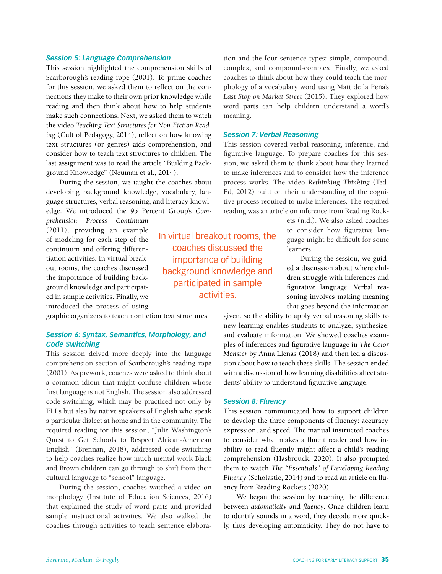#### *Session 5: Language Comprehension*

This session highlighted the comprehension skills of Scarborough's reading rope (2001). To prime coaches for this session, we asked them to reflect on the connections they make to their own prior knowledge while reading and then think about how to help students make such connections. Next, we asked them to watch the video *Teaching Text Structures for Non-Fiction Reading* (Cult of Pedagogy, 2014), reflect on how knowing text structures (or genres) aids comprehension, and consider how to teach text structures to children. The last assignment was to read the article "Building Background Knowledge" (Neuman et al., 2014).

During the session, we taught the coaches about developing background knowledge, vocabulary, language structures, verbal reasoning, and literacy knowledge. We introduced the 95 Percent Group's *Com-*

*prehension Process Continuum*  (2011), providing an example of modeling for each step of the continuum and offering differentiation activities. In virtual breakout rooms, the coaches discussed the importance of building background knowledge and participated in sample activities. Finally, we introduced the process of using

graphic organizers to teach nonfiction text structures.

#### *Session 6: Syntax, Semantics, Morphology, and Code Switching*

This session delved more deeply into the language comprehension section of Scarborough's reading rope (2001). As prework, coaches were asked to think about a common idiom that might confuse children whose first language is not English. The session also addressed code switching, which may be practiced not only by ELLs but also by native speakers of English who speak a particular dialect at home and in the community. The required reading for this session, "Julie Washington's Quest to Get Schools to Respect African-American English" (Brennan, 2018), addressed code switching to help coaches realize how much mental work Black and Brown children can go through to shift from their cultural language to "school" language.

During the session, coaches watched a video on morphology (Institute of Education Sciences, 2016) that explained the study of word parts and provided sample instructional activities. We also walked the coaches through activities to teach sentence elaboration and the four sentence types: simple, compound, complex, and compound-complex. Finally, we asked coaches to think about how they could teach the morphology of a vocabulary word using Matt de la Peña's *Last Stop on Market Street* (2015). They explored how word parts can help children understand a word's meaning.

#### *Session 7: Verbal Reasoning*

This session covered verbal reasoning, inference, and figurative language. To prepare coaches for this session, we asked them to think about how they learned to make inferences and to consider how the inference process works. The video *Rethinking Thinking* (Ted-Ed, 2012) built on their understanding of the cognitive process required to make inferences. The required reading was an article on inference from Reading Rock-

> ets (n.d.). We also asked coaches to consider how figurative language might be difficult for some learners.

> During the session, we guided a discussion about where children struggle with inferences and figurative language. Verbal reasoning involves making meaning that goes beyond the information

given, so the ability to apply verbal reasoning skills to new learning enables students to analyze, synthesize, and evaluate information. We showed coaches examples of inferences and figurative language in *The Color Monster* by Anna Llenas (2018) and then led a discussion about how to teach these skills. The session ended with a discussion of how learning disabilities affect students' ability to understand figurative language.

#### *Session 8: Fluency*

This session communicated how to support children to develop the three components of fluency: accuracy, expression, and speed. The manual instructed coaches to consider what makes a fluent reader and how inability to read fluently might affect a child's reading comprehension (Hasbrouck, 2020). It also prompted them to watch *The "Essentials" of Developing Reading Fluency* (Scholastic, 2014) and to read an article on fluency from Reading Rockets (2020).

We began the session by teaching the difference between *automaticity* and *fluency*. Once children learn to identify sounds in a word, they decode more quickly, thus developing automaticity. They do not have to

In virtual breakout rooms, the coaches discussed the importance of building background knowledge and participated in sample activities.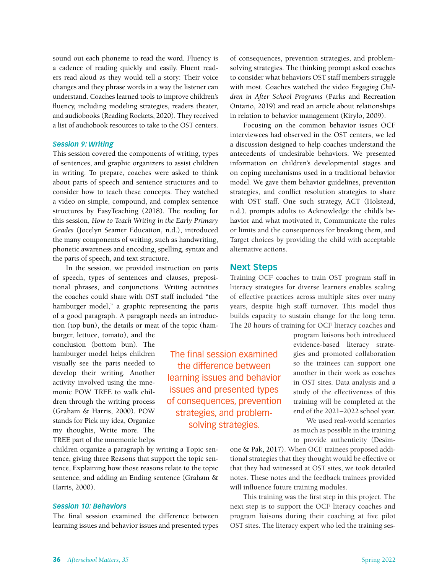sound out each phoneme to read the word. Fluency is a cadence of reading quickly and easily. Fluent readers read aloud as they would tell a story: Their voice changes and they phrase words in a way the listener can understand. Coaches learned tools to improve children's fluency, including modeling strategies, readers theater, and audiobooks (Reading Rockets, 2020). They received a list of audiobook resources to take to the OST centers.

#### *Session 9: Writing*

This session covered the components of writing, types of sentences, and graphic organizers to assist children in writing. To prepare, coaches were asked to think about parts of speech and sentence structures and to consider how to teach these concepts. They watched a video on simple, compound, and complex sentence structures by EasyTeaching (2018). The reading for this session, *How to Teach Writing in the Early Primary Grades* (Jocelyn Seamer Education, n.d.), introduced the many components of writing, such as handwriting, phonetic awareness and encoding, spelling, syntax and the parts of speech, and text structure.

In the session, we provided instruction on parts of speech, types of sentences and clauses, prepositional phrases, and conjunctions. Writing activities the coaches could share with OST staff included "the hamburger model," a graphic representing the parts of a good paragraph. A paragraph needs an introduction (top bun), the details or meat of the topic (ham-

burger, lettuce, tomato), and the conclusion (bottom bun). The hamburger model helps children visually see the parts needed to develop their writing. Another activity involved using the mnemonic POW TREE to walk children through the writing process (Graham & Harris, 2000). POW stands for **P**ick my idea, **O**rganize my thoughts, **W**rite more. The TREE part of the mnemonic helps

The final session examined the difference between learning issues and behavior issues and presented types of consequences, prevention strategies, and problemsolving strategies.

children organize a paragraph by writing a **T**opic sentence, giving three **R**easons that support the topic sentence, **E**xplaining how those reasons relate to the topic sentence, and adding an **E**nding sentence (Graham & Harris, 2000).

#### *Session 10: Behaviors*

The final session examined the difference between learning issues and behavior issues and presented types of consequences, prevention strategies, and problemsolving strategies. The thinking prompt asked coaches to consider what behaviors OST staff members struggle with most. Coaches watched the video *Engaging Children in After School Programs* (Parks and Recreation Ontario, 2019) and read an article about relationships in relation to behavior management (Kirylo, 2009).

Focusing on the common behavior issues OCF interviewees had observed in the OST centers, we led a discussion designed to help coaches understand the antecedents of undesirable behaviors. We presented information on children's developmental stages and on coping mechanisms used in a traditional behavior model. We gave them behavior guidelines, prevention strategies, and conflict resolution strategies to share with OST staff. One such strategy, ACT (Holstead, n.d.), prompts adults to **A**cknowledge the child's behavior and what motivated it, Communicate the rules or limits and the consequences for breaking them, and Target choices by providing the child with acceptable alternative actions.

#### **Next Steps**

Training OCF coaches to train OST program staff in literacy strategies for diverse learners enables scaling of effective practices across multiple sites over many years, despite high staff turnover. This model thus builds capacity to sustain change for the long term. The 20 hours of training for OCF literacy coaches and

> program liaisons both introduced evidence-based literacy strategies and promoted collaboration so the trainees can support one another in their work as coaches in OST sites. Data analysis and a study of the effectiveness of this training will be completed at the end of the 2021–2022 school year.

> We used real-world scenarios as much as possible in the training to provide authenticity (Desim-

one & Pak, 2017). When OCF trainees proposed additional strategies that they thought would be effective or that they had witnessed at OST sites, we took detailed notes. These notes and the feedback trainees provided will influence future training modules.

This training was the first step in this project. The next step is to support the OCF literacy coaches and program liaisons during their coaching at five pilot OST sites. The literacy expert who led the training ses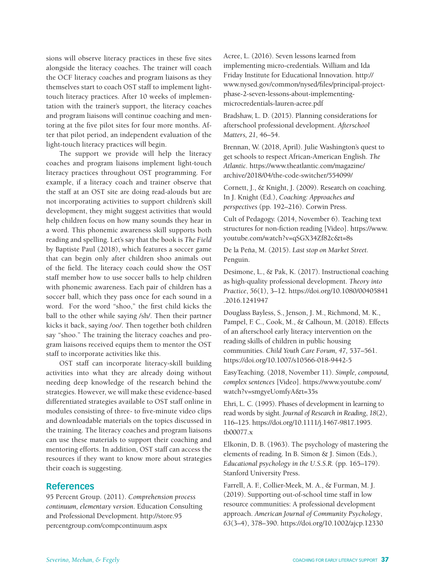sions will observe literacy practices in these five sites alongside the literacy coaches. The trainer will coach the OCF literacy coaches and program liaisons as they themselves start to coach OST staff to implement lighttouch literacy practices. After 10 weeks of implementation with the trainer's support, the literacy coaches and program liaisons will continue coaching and mentoring at the five pilot sites for four more months. After that pilot period, an independent evaluation of the light-touch literacy practices will begin.

The support we provide will help the literacy coaches and program liaisons implement light-touch literacy practices throughout OST programming. For example, if a literacy coach and trainer observe that the staff at an OST site are doing read-alouds but are not incorporating activities to support children's skill development, they might suggest activities that would help children focus on how many sounds they hear in a word. This phonemic awareness skill supports both reading and spelling. Let's say that the book is *The Field* by Baptiste Paul (2018), which features a soccer game that can begin only after children shoo animals out of the field. The literacy coach could show the OST staff member how to use soccer balls to help children with phonemic awareness. Each pair of children has a soccer ball, which they pass once for each sound in a word. For the word "shoo," the first child kicks the ball to the other while saying /sh/. Then their partner kicks it back, saying /oo/. Then together both children say "shoo." The training the literacy coaches and program liaisons received equips them to mentor the OST staff to incorporate activities like this.

OST staff can incorporate literacy-skill building activities into what they are already doing without needing deep knowledge of the research behind the strategies. However, we will make these evidence-based differentiated strategies available to OST staff online in modules consisting of three- to five-minute video clips and downloadable materials on the topics discussed in the training. The literacy coaches and program liaisons can use these materials to support their coaching and mentoring efforts. In addition, OST staff can access the resources if they want to know more about strategies their coach is suggesting.

#### **References**

95 Percent Group. (2011). *Comprehension process continuum, elementary version*. Education Consulting and Professional Development. http://store.95 percentgroup.com/compcontinuum.aspx

Acree, L. (2016). Seven lessons learned from implementing micro-credentials. William and Ida Friday Institute for Educational Innovation. http:// www.nysed.gov/common/nysed/files/principal-projectphase-2-seven-lessons-about-implementingmicrocredentials-lauren-acree.pdf

Bradshaw, L. D. (2015). Planning considerations for afterschool professional development. *Afterschool Matters, 21,* 46–54.

Brennan, W. (2018, April). Julie Washington's quest to get schools to respect African-American English. *The Atlantic.* https://www.theatlantic.com/magazine/ archive/2018/04/the-code-switcher/554099/

Cornett, J., & Knight, J. (2009). Research on coaching. In J. Knight (Ed.), *Coaching: Approaches and perspectives* (pp. 192–216). Corwin Press.

Cult of Pedagogy. (2014, November 6). Teaching text structures for non-fiction reading [Video]. https://www. youtube.com/watch?v=qSGX34Zf82c&t=8s

De la Peña, M. (2015). *Last stop on Market Street.*  Penguin.

Desimone, L., & Pak, K. (2017). Instructional coaching as high-quality professional development. *Theory into Practice*, *56*(1), 3–12. https://doi.org/10.1080/00405841 .2016.1241947

Douglass Bayless, S., Jenson, J. M., Richmond, M. K., Pampel, F. C., Cook, M., & Calhoun, M. (2018). Effects of an afterschool early literacy intervention on the reading skills of children in public housing communities. *Child Youth Care Forum, 47,* 537–561. https://doi.org/10.1007/s10566-018-9442-5

EasyTeaching. (2018, November 11). *Simple, compound, complex sentences* [Video]. https://www.youtube.com/ watch?v=smgyeUomfyA&t=35s

Ehri, L. C. (1995). Phases of development in learning to read words by sight. *Journal of Research in Reading*, *18*(2), 116–125. https://doi.org/10.1111/j.1467-9817.1995. tb00077.x

Elkonin, D. B. (1963). The psychology of mastering the elements of reading. In B. Simon & J. Simon (Eds.), *Educational psychology in the U.S.S.R.* (pp. 165–179). Stanford University Press.

Farrell, A. F., Collier-Meek, M. A., & Furman, M. J. (2019). Supporting out-of-school time staff in low resource communities: A professional development approach. *American Journal of Community Psychology*, *63*(3–4), 378–390. https://doi.org/10.1002/ajcp.12330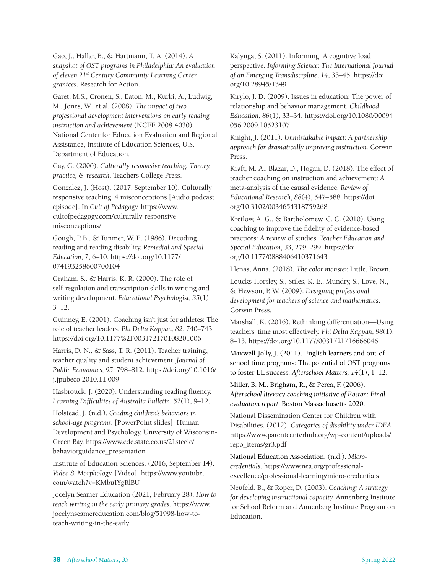Gao, J., Hallar, B., & Hartmann, T. A. (2014). *A snapshot of OST programs in Philadelphia: An evaluation of eleven 21st Century Community Learning Center grantees*. Research for Action.

Garet, M.S., Cronen, S., Eaton, M., Kurki, A., Ludwig, M., Jones, W., et al. (2008). *The impact of two professional development interventions on early reading instruction and achievement* (NCEE 2008-4030). National Center for Education Evaluation and Regional Assistance, Institute of Education Sciences, U.S. Department of Education.

Gay, G. (2000). *Culturally responsive teaching: Theory, practice, & research*. Teachers College Press.

Gonzalez, J. (Host). (2017, September 10). Culturally responsive teaching: 4 misconceptions [Audio podcast episode]. In *Cult of Pedagogy.* https://www. cultofpedagogy.com/culturally-responsivemisconceptions/

Gough, P. B., & Tunmer, W. E. (1986). Decoding, reading and reading disability. *Remedial and Special Education*, *7*, 6–10. https://doi.org/10.1177/ 074193258600700104

Graham, S., & Harris, K. R. (2000). The role of self-regulation and transcription skills in writing and writing development. *Educational Psychologist, 35*(1), 3–12.

Guinney, E. (2001). Coaching isn't just for athletes: The role of teacher leaders. *Phi Delta Kappan*, *82*, 740–743. https://doi.org/10.1177%2F003172170108201006

Harris, D. N., & Sass, T. R. (2011). Teacher training, teacher quality and student achievement. *Journal of Public Economics, 95*, 798–812. https://doi.org/10.1016/ j.jpubeco.2010.11.009

Hasbrouck, J. (2020). Understanding reading fluency. *Learning Difficulties of Australia Bulletin*, *52*(1), 9–12.

Holstead, J. (n.d.). *Guiding children's behaviors in school-age programs.* [PowerPoint slides]. Human Development and Psychology, University of Wisconsin-Green Bay. https://www.cde.state.co.us/21stcclc/ behaviorguidance\_presentation

Institute of Education Sciences. (2016, September 14). *Video 8: Morphology.* [Video]. https://www.youtube. com/watch?v=KMbuIYgRlBU

Jocelyn Seamer Education (2021, February 28). *How to teach writing in the early primary grades*. https://www. jocelynseamereducation.com/blog/51998-how-toteach-writing-in-the-early

Kalyuga, S. (2011). Informing: A cognitive load perspective. *Informing Science: The International Journal of an Emerging Transdiscipline*, *14*, 33–45. https://doi. org/10.28945/1349

Kirylo, J. D. (2009). Issues in education: The power of relationship and behavior management. *Childhood Education*, *86*(1), 33–34. https://doi.org/10.1080/00094 056.2009.10523107

Knight, J. (2011). *Unmistakable impact: A partnership approach for dramatically improving instruction.* Corwin Press.

Kraft, M. A., Blazar, D., Hogan, D. (2018). The effect of teacher coaching on instruction and achievement: A meta-analysis of the causal evidence. *Review of Educational Research*, *88*(4), 547–588. https://doi. org/10.3102/0034654318759268

Kretlow, A. G., & Bartholomew, C. C. (2010). Using coaching to improve the fidelity of evidence-based practices: A review of studies. *Teacher Education and Special Education*, *33*, 279–299. https://doi. org/10.1177/0888406410371643

Llenas, Anna. (2018). *The color monster.* Little, Brown.

Loucks-Horsley, S., Stiles, K. E., Mundry, S., Love, N., & Hewson, P. W. (2009). *Designing professional development for teachers of science and mathematics*. Corwin Press.

Marshall, K. (2016). Rethinking differentiation—Using teachers' time most effectively. *Phi Delta Kappan*, *98*(1), 8–13. https://doi.org/10.1177/0031721716666046

Maxwell-Jolly, J. (2011). English learners and out-ofschool time programs: The potential of OST programs to foster EL success. *Afterschool Matters, 14*(1), 1–12.

Miller, B. M., Brigham, R., & Perea, F. (2006). *Afterschool literacy coaching initiative of Boston: Final evaluation report.* Boston Massachusetts 2020.

National Dissemination Center for Children with Disabilities. (2012). *Categories of disability under IDEA.* https://www.parentcenterhub.org/wp-content/uploads/ repo\_items/gr3.pdf

National Education Association. (n.d.). *Microcredentials*. https://www.nea.org/professionalexcellence/professional-learning/micro-credentials

Neufeld, B., & Roper, D. (2003). *Coaching: A strategy for developing instructional capacity.* Annenberg Institute for School Reform and Annenberg Institute Program on Education.